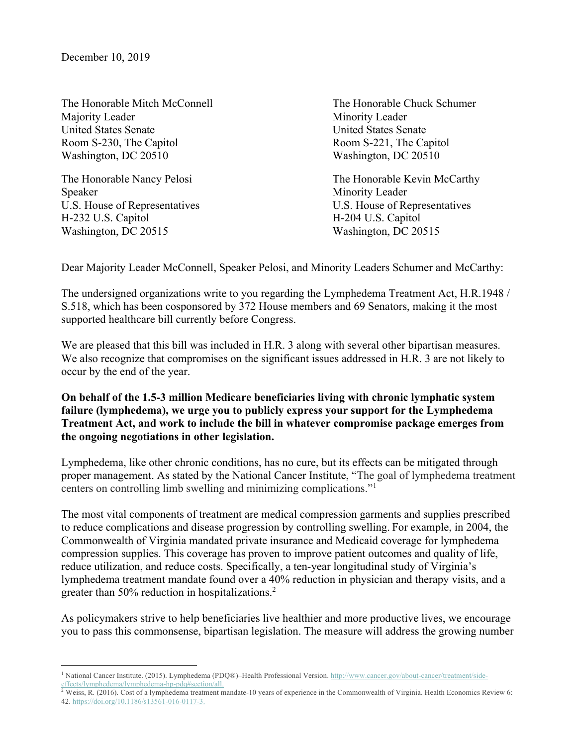The Honorable Mitch McConnell The Honorable Chuck Schumer Majority Leader **Minority Leader** United States Senate United States Senate Room S-230, The Capitol **Room S-221**, The Capitol Washington, DC 20510 Washington, DC 20510

Speaker Minority Leader H-232 U.S. Capitol **H-204 U.S.** Capitol Washington, DC 20515 Washington, DC 20515

The Honorable Nancy Pelosi **The Honorable Kevin McCarthy** U.S. House of Representatives U.S. House of Representatives

Dear Majority Leader McConnell, Speaker Pelosi, and Minority Leaders Schumer and McCarthy:

The undersigned organizations write to you regarding the Lymphedema Treatment Act, H.R.1948 / S.518, which has been cosponsored by 372 House members and 69 Senators, making it the most supported healthcare bill currently before Congress.

We are pleased that this bill was included in H.R. 3 along with several other bipartisan measures. We also recognize that compromises on the significant issues addressed in H.R. 3 are not likely to occur by the end of the year.

**On behalf of the 1.5-3 million Medicare beneficiaries living with chronic lymphatic system failure (lymphedema), we urge you to publicly express your support for the Lymphedema Treatment Act, and work to include the bill in whatever compromise package emerges from the ongoing negotiations in other legislation.**

Lymphedema, like other chronic conditions, has no cure, but its effects can be mitigated through proper management. As stated by the National Cancer Institute, "The goal of lymphedema treatment centers on controlling limb swelling and minimizing complications."1

The most vital components of treatment are medical compression garments and supplies prescribed to reduce complications and disease progression by controlling swelling. For example, in 2004, the Commonwealth of Virginia mandated private insurance and Medicaid coverage for lymphedema compression supplies. This coverage has proven to improve patient outcomes and quality of life, reduce utilization, and reduce costs. Specifically, a ten-year longitudinal study of Virginia's lymphedema treatment mandate found over a 40% reduction in physician and therapy visits, and a greater than 50% reduction in hospitalizations.<sup>2</sup>

As policymakers strive to help beneficiaries live healthier and more productive lives, we encourage you to pass this commonsense, bipartisan legislation. The measure will address the growing number

<sup>1</sup> National Cancer Institute. (2015). Lymphedema (PDQ®)–Health Professional Version. http://www.cancer.gov/about-cancer/treatment/sideeffects/lymphedema/lymphedema-hp-pdq#section/all.

 $\frac{1}{2}$  Weiss, R. (2016). Cost of a lymphedema treatment mandate-10 years of experience in the Commonwealth of Virginia. Health Economics Review 6: 42. https://doi.org/10.1186/s13561-016-0117-3.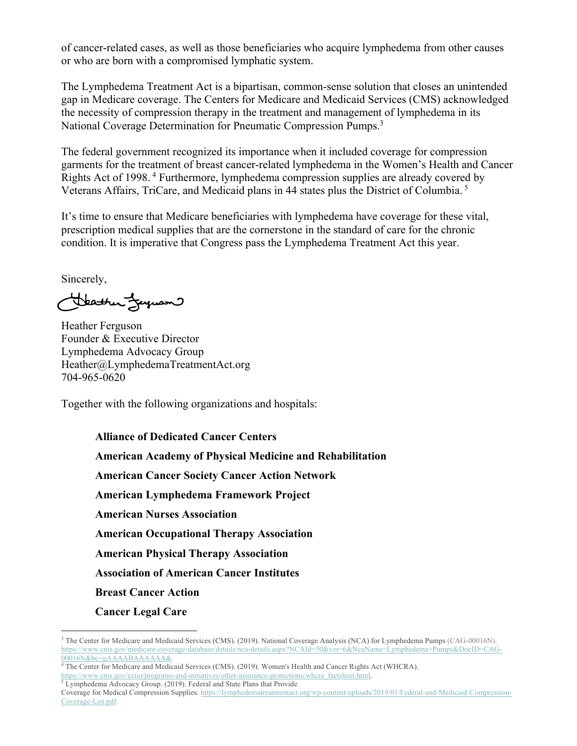of cancer-related cases, as well as those beneficiaries who acquire lymphedema from other causes or who are born with a compromised lymphatic system.

The Lymphedema Treatment Act is a bipartisan, common-sense solution that closes an unintended gap in Medicare coverage. The Centers for Medicare and Medicaid Services (CMS) acknowledged the necessity of compression therapy in the treatment and management of lymphedema in its National Coverage Determination for Pneumatic Compression Pumps.<sup>3</sup>

The federal government recognized its importance when it included coverage for compression garments for the treatment of breast cancer-related lymphedema in the Women's Health and Cancer Rights Act of 1998. <sup>4</sup> Furthermore, lymphedema compression supplies are already covered by Veterans Affairs, TriCare, and Medicaid plans in 44 states plus the District of Columbia.<sup>5</sup>

It's time to ensure that Medicare beneficiaries with lymphedema have coverage for these vital, prescription medical supplies that are the cornerstone in the standard of care for the chronic condition. It is imperative that Congress pass the Lymphedema Treatment Act this year.

Sincerely,

Heather Ferguson

Heather Ferguson Founder & Executive Director Lymphedema Advocacy Group Heather@LymphedemaTreatmentAct.org 704-965-0620

Together with the following organizations and hospitals:

**Alliance of Dedicated Cancer Centers**

**American Academy of Physical Medicine and Rehabilitation**

**American Cancer Society Cancer Action Network**

**American Lymphedema Framework Project**

**American Nurses Association**

**American Occupational Therapy Association**

**American Physical Therapy Association**

**Association of American Cancer Institutes**

**Breast Cancer Action**

**Cancer Legal Care**

<sup>&</sup>lt;sup>3</sup> The Center for Medicare and Medicaid Services (CMS). (2019). National Coverage Analysis (NCA) for Lymphedema Pumps (CAG-00016N). https://www.cms.gov/medicare-coverage-database/details/nca-details.aspx?NCAId=50&ver=6&NcaName=Lymphedema+Pumps&DocID=CAG-00016N&bc=gAAAABAAAAAA&.

<sup>4</sup> The Center for Medicare and Medicaid Services (CMS). (2019). Women's Health and Cancer Rights Act (WHCRA). https://www.cms.gov/cciio/programs-and-initiatives/other-insurance-protections/whcra\_factsheet.html.

<sup>&</sup>lt;sup>5</sup> Lymphedema Advocacy Group. (2019). Federal and State Plans that Provide

Coverage for Medical Compression Supplies. https://lymphedematreatmentact.org/wp-content/uploads/2019/01/Federal-and-Medicaid-Compression-Coverage-List.pdf.